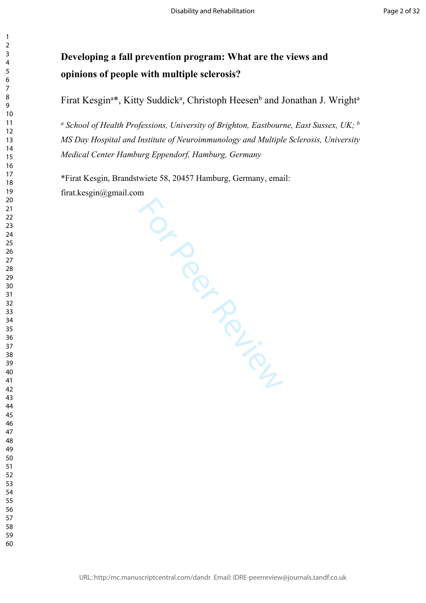# **Developing a fall prevention program: What are the views and opinions of people with multiple sclerosis?**

Firat Kesgin<sup>a\*</sup>, Kitty Suddick<sup>a</sup>, Christoph Heesen<sup>b</sup> and Jonathan J. Wright<sup>a</sup>

*a School of Health Professions, University of Brighton, Eastbourne, East Sussex, UK; <sup>b</sup> MS Day Hospital and Institute of Neuroimmunology and Multiple Sclerosis, University Medical Center Hamburg Eppendorf, Hamburg, Germany*

For Perincipal

\*Firat Kesgin, Brandstwiete 58, 20457 Hamburg, Germany, email: firat.kesgin@gmail.com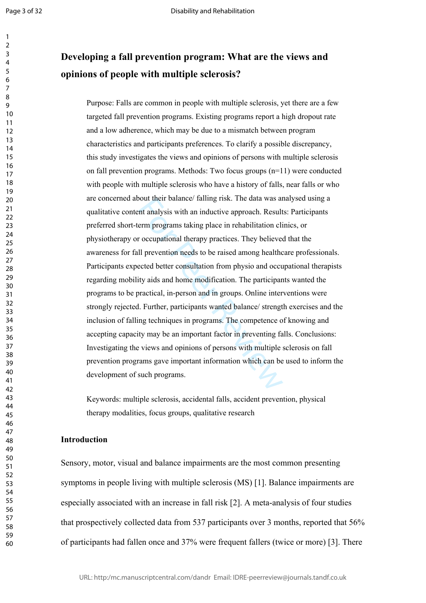$\mathbf{1}$  $\overline{2}$ 

# **Developing a fall prevention program: What are the views and opinions of people with multiple sclerosis?**

bout their balance/ falling risk. The data was and their balance/ falling risk. The data was a<br>term programs taking place in rehabilitation click recomproperation and the revention needs to be raised among health<br>ected bet Purpose: Falls are common in people with multiple sclerosis, yet there are a few targeted fall prevention programs. Existing programs report a high dropout rate and a low adherence, which may be due to a mismatch between program characteristics and participants preferences. To clarify a possible discrepancy, this study investigates the views and opinions of persons with multiple sclerosis on fall prevention programs. Methods: Two focus groups (n=11) were conducted with people with multiple sclerosis who have a history of falls, near falls or who are concerned about their balance/ falling risk. The data was analysed using a qualitative content analysis with an inductive approach. Results: Participants preferred short-term programs taking place in rehabilitation clinics, or physiotherapy or occupational therapy practices. They believed that the awareness for fall prevention needs to be raised among healthcare professionals. Participants expected better consultation from physio and occupational therapists regarding mobility aids and home modification. The participants wanted the programs to be practical, in-person and in groups. Online interventions were strongly rejected. Further, participants wanted balance/ strength exercises and the inclusion of falling techniques in programs. The competence of knowing and accepting capacity may be an important factor in preventing falls. Conclusions: Investigating the views and opinions of persons with multiple sclerosis on fall prevention programs gave important information which can be used to inform the development of such programs.

Keywords: multiple sclerosis, accidental falls, accident prevention, physical therapy modalities, focus groups, qualitative research

#### **Introduction**

Sensory, motor, visual and balance impairments are the most common presenting symptoms in people living with multiple sclerosis (MS) [1]. Balance impairments are especially associated with an increase in fall risk [2]. A meta-analysis of four studies that prospectively collected data from 537 participants over 3 months, reported that 56% of participants had fallen once and 37% were frequent fallers (twice or more) [3]. There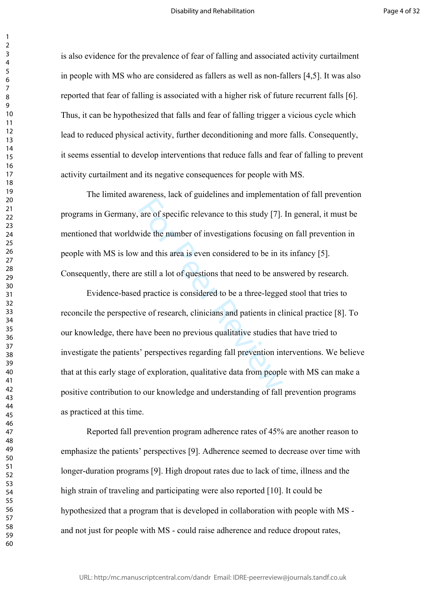is also evidence for the prevalence of fear of falling and associated activity curtailment in people with MS who are considered as fallers as well as non-fallers [4,5]. It was also reported that fear of falling is associated with a higher risk of future recurrent falls [6]. Thus, it can be hypothesized that falls and fear of falling trigger a vicious cycle which lead to reduced physical activity, further deconditioning and more falls. Consequently, it seems essential to develop interventions that reduce falls and fear of falling to prevent activity curtailment and its negative consequences for people with MS.

The limited awareness, lack of guidelines and implementation of fall prevention programs in Germany, are of specific relevance to this study [7]. In general, it must be mentioned that worldwide the number of investigations focusing on fall prevention in people with MS is low and this area is even considered to be in its infancy [5]. Consequently, there are still a lot of questions that need to be answered by research.

are of specific relevance to this study [7].<br>vide the number of investigations focusing<br>and this area is even considered to be in it<br>e still a lot of questions that need to be ans<br>d practice is considered to be a three-leg Evidence-based practice is considered to be a three-legged stool that tries to reconcile the perspective of research, clinicians and patients in clinical practice [8]. To our knowledge, there have been no previous qualitative studies that have tried to investigate the patients' perspectives regarding fall prevention interventions. We believe that at this early stage of exploration, qualitative data from people with MS can make a positive contribution to our knowledge and understanding of fall prevention programs as practiced at this time.

Reported fall prevention program adherence rates of 45% are another reason to emphasize the patients' perspectives [9]. Adherence seemed to decrease over time with longer-duration programs [9]. High dropout rates due to lack of time, illness and the high strain of traveling and participating were also reported [10]. It could be hypothesized that a program that is developed in collaboration with people with MS and not just for people with MS - could raise adherence and reduce dropout rates,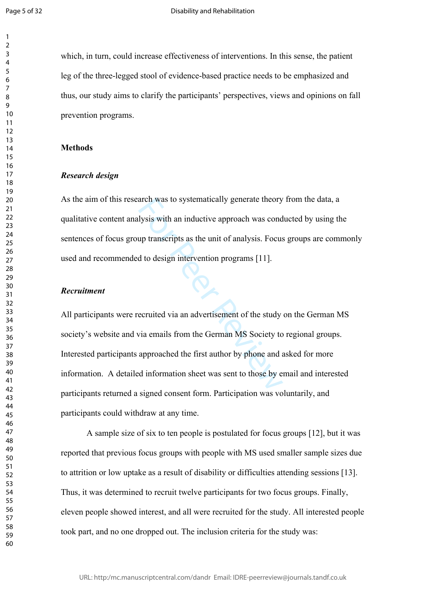$\mathbf{1}$ 

which, in turn, could increase effectiveness of interventions. In this sense, the patient leg of the three-legged stool of evidence-based practice needs to be emphasized and thus, our study aims to clarify the participants' perspectives, views and opinions on fall prevention programs.

#### **Methods**

#### *Research design*

As the aim of this research was to systematically generate theory from the data, a qualitative content analysis with an inductive approach was conducted by using the sentences of focus group transcripts as the unit of analysis. Focus groups are commonly used and recommended to design intervention programs [11].

## *Recruitment*

arch was to systematically generate theory<br>
lysis with an inductive approach was cond<br>
up transcripts as the unit of analysis. Focus<br>
d to design intervention programs [11].<br>
<br>
ecruited via an advertisement of the study<br>
v All participants were recruited via an advertisement of the study on the German MS society's website and via emails from the German MS Society to regional groups. Interested participants approached the first author by phone and asked for more information. A detailed information sheet was sent to those by email and interested participants returned a signed consent form. Participation was voluntarily, and participants could withdraw at any time.

A sample size of six to ten people is postulated for focus groups [12], but it was reported that previous focus groups with people with MS used smaller sample sizes due to attrition or low uptake as a result of disability or difficulties attending sessions [13]. Thus, it was determined to recruit twelve participants for two focus groups. Finally, eleven people showed interest, and all were recruited for the study. All interested people took part, and no one dropped out. The inclusion criteria for the study was: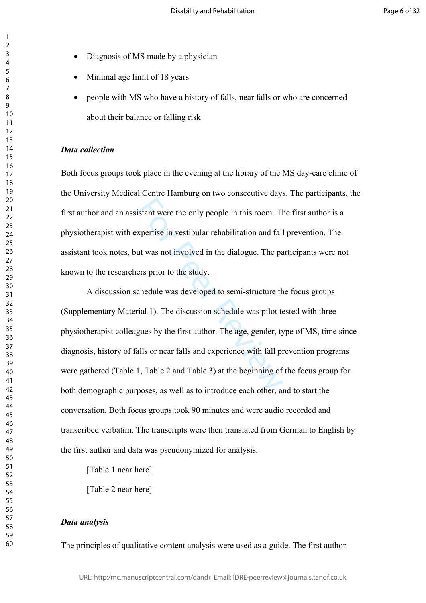- Diagnosis of MS made by a physician
- Minimal age limit of 18 years
- people with MS who have a history of falls, near falls or who are concerned about their balance or falling risk

#### *Data collection*

Both focus groups took place in the evening at the library of the MS day-care clinic of the University Medical Centre Hamburg on two consecutive days. The participants, the first author and an assistant were the only people in this room. The first author is a physiotherapist with expertise in vestibular rehabilitation and fall prevention. The assistant took notes, but was not involved in the dialogue. The participants were not known to the researchers prior to the study.

stant were the only people in this room. The<br>stant were the only people in this room. The<br>stant was not involved in the dialogue. The pa<br>ers prior to the study.<br>chedule was developed to semi-structure th<br>ial 1). The discus A discussion schedule was developed to semi-structure the focus groups (Supplementary Material 1). The discussion schedule was pilot tested with three physiotherapist colleagues by the first author. The age, gender, type of MS, time since diagnosis, history of falls or near falls and experience with fall prevention programs were gathered (Table 1, Table 2 and Table 3) at the beginning of the focus group for both demographic purposes, as well as to introduce each other, and to start the conversation. Both focus groups took 90 minutes and were audio recorded and transcribed verbatim. The transcripts were then translated from German to English by the first author and data was pseudonymized for analysis.

[Table 1 near here]

[Table 2 near here]

#### *Data analysis*

The principles of qualitative content analysis were used as a guide. The first author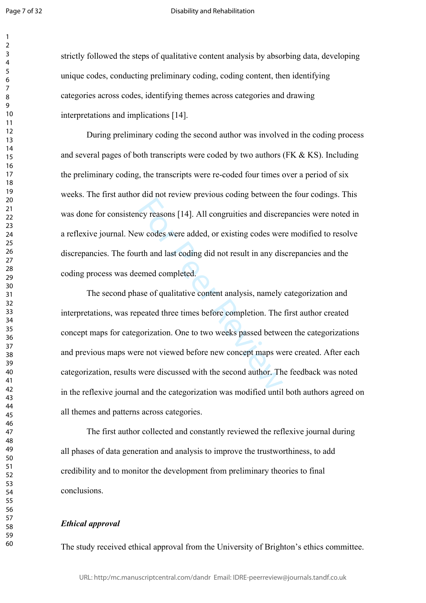Page 7 of 32

 $\mathbf{1}$  $\overline{2}$ 

#### Disability and Rehabilitation

strictly followed the steps of qualitative content analysis by absorbing data, developing unique codes, conducting preliminary coding, coding content, then identifying categories across codes, identifying themes across categories and drawing interpretations and implications [14].

During preliminary coding the second author was involved in the coding process and several pages of both transcripts were coded by two authors ( $FK & KS$ ). Including the preliminary coding, the transcripts were re-coded four times over a period of six weeks. The first author did not review previous coding between the four codings. This was done for consistency reasons [14]. All congruities and discrepancies were noted in a reflexive journal. New codes were added, or existing codes were modified to resolve discrepancies. The fourth and last coding did not result in any discrepancies and the coding process was deemed completed.

Exercise 14]. All congruities and discress we codes were added, or existing codes were<br>the and last coding did not result in any disemed completed.<br>ase of qualitative content analysis, namely<br>peated three times before comp The second phase of qualitative content analysis, namely categorization and interpretations, was repeated three times before completion. The first author created concept maps for categorization. One to two weeks passed between the categorizations and previous maps were not viewed before new concept maps were created. After each categorization, results were discussed with the second author. The feedback was noted in the reflexive journal and the categorization was modified until both authors agreed on all themes and patterns across categories.

The first author collected and constantly reviewed the reflexive journal during all phases of data generation and analysis to improve the trustworthiness, to add credibility and to monitor the development from preliminary theories to final conclusions.

## *Ethical approval*

The study received ethical approval from the University of Brighton's ethics committee.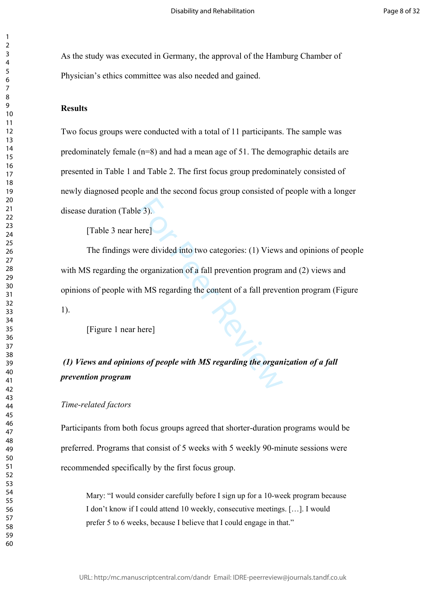As the study was executed in Germany, the approval of the Hamburg Chamber of Physician's ethics committee was also needed and gained.

## **Results**

Two focus groups were conducted with a total of 11 participants. The sample was predominately female (n=8) and had a mean age of 51. The demographic details are presented in Table 1 and Table 2. The first focus group predominately consisted of newly diagnosed people and the second focus group consisted of people with a longer disease duration (Table 3).

[Table 3 near here]

EXECT:<br>
For Pere divided into two categories: (1) Views<br>
organization of a fall prevention program<br>
h MS regarding the content of a fall prevention<br>
here]<br> **EXECT:**<br> **EXECT:**<br> **EXECT:** The findings were divided into two categories: (1) Views and opinions of people with MS regarding the organization of a fall prevention program and (2) views and opinions of people with MS regarding the content of a fall prevention program (Figure 1).

[Figure 1 near here]

# *(1) Views and opinions of people with MS regarding the organization of a fall prevention program*

## *Time-related factors*

Participants from both focus groups agreed that shorter-duration programs would be preferred. Programs that consist of 5 weeks with 5 weekly 90-minute sessions were recommended specifically by the first focus group.

Mary: "I would consider carefully before I sign up for a 10-week program because I don't know if I could attend 10 weekly, consecutive meetings. […]. I would prefer 5 to 6 weeks, because I believe that I could engage in that."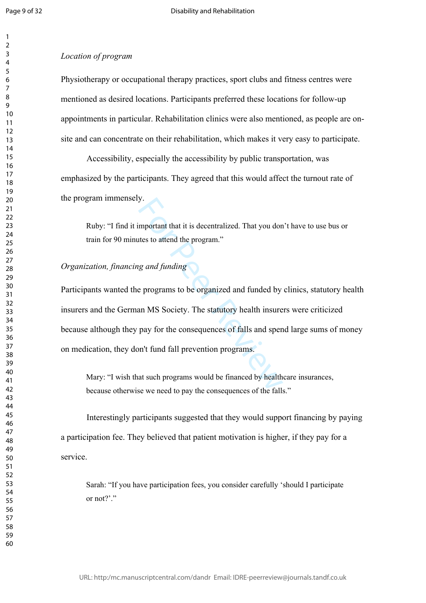$\mathbf{1}$  $\overline{2}$  $\overline{3}$  $\overline{4}$  $\overline{7}$ 

#### *Location of program*

Physiotherapy or occupational therapy practices, sport clubs and fitness centres were mentioned as desired locations. Participants preferred these locations for follow-up appointments in particular. Rehabilitation clinics were also mentioned, as people are onsite and can concentrate on their rehabilitation, which makes it very easy to participate.

Accessibility, especially the accessibility by public transportation, was emphasized by the participants. They agreed that this would affect the turnout rate of the program immensely.

Ruby: "I find it important that it is decentralized. That you don't have to use bus or train for 90 minutes to attend the program."

## *Organization, financing and funding*

y.<br>
Sumportant that it is decentralized. That you don<br>
ites to attend the program."<br>
In an MS Society. The statutory health insure<br>
pay for the consequences of falls and sper<br>
pay for the consequences of falls and sper<br>
pa Participants wanted the programs to be organized and funded by clinics, statutory health insurers and the German MS Society. The statutory health insurers were criticized because although they pay for the consequences of falls and spend large sums of money on medication, they don't fund fall prevention programs.

Mary: "I wish that such programs would be financed by healthcare insurances, because otherwise we need to pay the consequences of the falls."

Interestingly participants suggested that they would support financing by paying a participation fee. They believed that patient motivation is higher, if they pay for a service.

Sarah: "If you have participation fees, you consider carefully 'should I participate or not?" $"$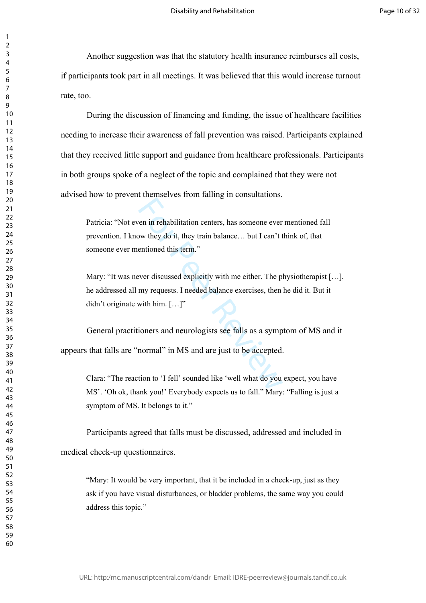Another suggestion was that the statutory health insurance reimburses all costs, if participants took part in all meetings. It was believed that this would increase turnout rate, too.

During the discussion of financing and funding, the issue of healthcare facilities needing to increase their awareness of fall prevention was raised. Participants explained that they received little support and guidance from healthcare professionals. Participants in both groups spoke of a neglect of the topic and complained that they were not advised how to prevent themselves from falling in consultations.

Patricia: "Not even in rehabilitation centers, has someone ever mentioned fall prevention. I know they do it, they train balance… but I can't think of, that someone ever mentioned this term."

For an in-<br>
For all the stars and the stars and the stars and the stars and the<br>
Foreign Controller and the stars are the stars and the stars and neurologists see falls as a symptomers<br>
and neurologists see falls as a symp Mary: "It was never discussed explicitly with me either. The physiotherapist [...], he addressed all my requests. I needed balance exercises, then he did it. But it didn't originate with him. [...]"

General practitioners and neurologists see falls as a symptom of MS and it appears that falls are "normal" in MS and are just to be accepted.

Clara: "The reaction to 'I fell' sounded like 'well what do you expect, you have MS'. 'Oh ok, thank you!' Everybody expects us to fall." Mary: "Falling is just a symptom of MS. It belongs to it."

Participants agreed that falls must be discussed, addressed and included in medical check-up questionnaires.

"Mary: It would be very important, that it be included in a check-up, just as they ask if you have visual disturbances, or bladder problems, the same way you could address this topic."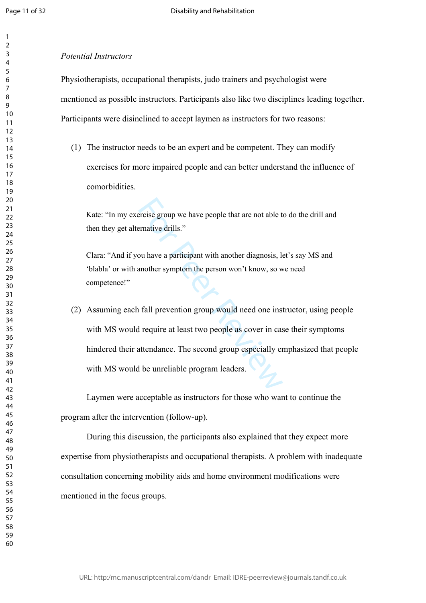$\mathbf{1}$  $\overline{2}$  $\overline{3}$  $\overline{4}$  $\overline{7}$ 

#### *Potential Instructors*

Physiotherapists, occupational therapists, judo trainers and psychologist were mentioned as possible instructors. Participants also like two disciplines leading together. Participants were disinclined to accept laymen as instructors for two reasons:

(1) The instructor needs to be an expert and be competent. They can modify exercises for more impaired people and can better understand the influence of comorbidities.

Kate: "In my exercise group we have people that are not able to do the drill and then they get alternative drills."

Clara: "And if you have a participant with another diagnosis, let's say MS and 'blabla' or with another symptom the person won't know, so we need competence!"

ercise group we have people that are not able t<br>ernative drills."<br>ou have a participant with another diagnosis, la<br>another symptom the person won't know, so w<br>another symptom the person won't know, so w<br>a<br>field provided an (2) Assuming each fall prevention group would need one instructor, using people with MS would require at least two people as cover in case their symptoms hindered their attendance. The second group especially emphasized that people with MS would be unreliable program leaders.

Laymen were acceptable as instructors for those who want to continue the program after the intervention (follow-up).

During this discussion, the participants also explained that they expect more expertise from physiotherapists and occupational therapists. A problem with inadequate consultation concerning mobility aids and home environment modifications were mentioned in the focus groups.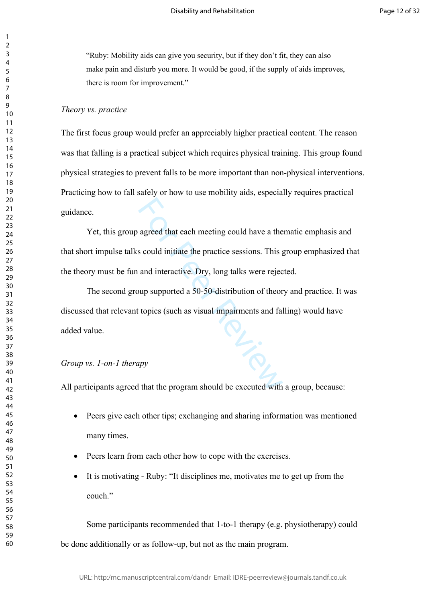"Ruby: Mobility aids can give you security, but if they don't fit, they can also make pain and disturb you more. It would be good, if the supply of aids improves, there is room for improvement."

## *Theory vs. practice*

The first focus group would prefer an appreciably higher practical content. The reason was that falling is a practical subject which requires physical training. This group found physical strategies to prevent falls to be more important than non-physical interventions. Practicing how to fall safely or how to use mobility aids, especially requires practical guidance.

Yet, this group agreed that each meeting could have a thematic emphasis and that short impulse talks could initiate the practice sessions. This group emphasized that the theory must be fun and interactive. Dry, long talks were rejected.

TU-S The second group supported a 50-50-distribution of theory and practice. It was discussed that relevant topics (such as visual impairments and falling) would have added value.

#### *Group vs. 1-on-1 therapy*

All participants agreed that the program should be executed with a group, because:

- Peers give each other tips; exchanging and sharing information was mentioned many times.
- Peers learn from each other how to cope with the exercises.
- It is motivating Ruby: "It disciplines me, motivates me to get up from the couch."

Some participants recommended that 1-to-1 therapy (e.g. physiotherapy) could be done additionally or as follow-up, but not as the main program.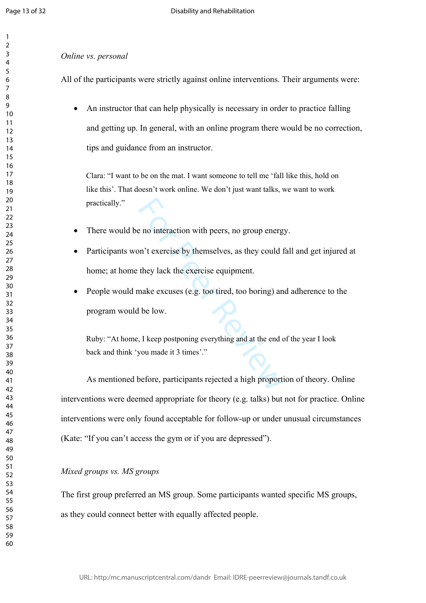$\mathbf{1}$  $\overline{2}$  $\overline{3}$  $\overline{4}$  $\overline{7}$  $\mathsf{Q}$ 

#### *Online vs. personal*

All of the participants were strictly against online interventions. Their arguments were:

 An instructor that can help physically is necessary in order to practice falling and getting up. In general, with an online program there would be no correction, tips and guidance from an instructor.

Clara: "I want to be on the mat. I want someone to tell me 'fall like this, hold on like this'. That doesn't work online. We don't just want talks, we want to work practically."

- There would be no interaction with peers, no group energy.
- Participants won't exercise by themselves, as they could fall and get injured at home; at home they lack the exercise equipment.
- e no interaction with peers, no group energen't exercise by themselves, as they could they lack the exercise equipment.<br>
make excuses (e.g. too tired, too boring) are lead to bow.<br>
the low.<br>
For Postponing everything and a People would make excuses (e.g. too tired, too boring) and adherence to the program would be low.

Ruby: "At home, I keep postponing everything and at the end of the year I look back and think 'you made it 3 times'."

As mentioned before, participants rejected a high proportion of theory. Online interventions were deemed appropriate for theory (e.g. talks) but not for practice. Online interventions were only found acceptable for follow-up or under unusual circumstances (Kate: "If you can't access the gym or if you are depressed").

## *Mixed groups vs. MS groups*

The first group preferred an MS group. Some participants wanted specific MS groups, as they could connect better with equally affected people.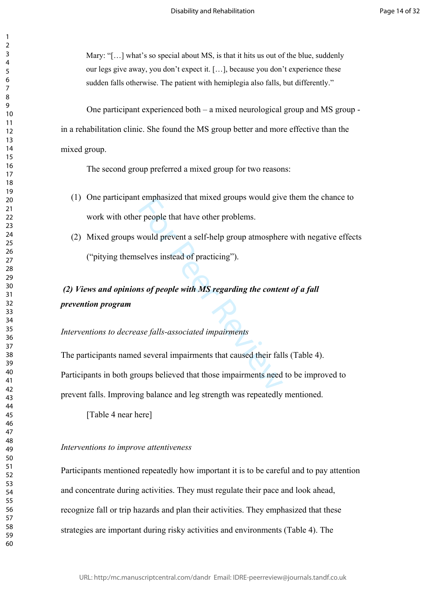Mary: "[...] what's so special about MS, is that it hits us out of the blue, suddenly our legs give away, you don't expect it. […], because you don't experience these sudden falls otherwise. The patient with hemiplegia also falls, but differently."

One participant experienced both – a mixed neurological group and MS group in a rehabilitation clinic. She found the MS group better and more effective than the mixed group.

The second group preferred a mixed group for two reasons:

- (1) One participant emphasized that mixed groups would give them the chance to work with other people that have other problems.
- (2) Mixed groups would prevent a self-help group atmosphere with negative effects ("pitying themselves instead of practicing").

# *(2) Views and opinions of people with MS regarding the content of a fall prevention program*

*Interventions to decrease falls-associated impairments*

Freephasized that hixed groups would give<br>the proper contract a self-help group atmospher<br>selves instead of practicing").<br>**ns of people with MS regarding the contentions**<br>as the proper with MS regarding the content<br>as the The participants named several impairments that caused their falls (Table 4). Participants in both groups believed that those impairments need to be improved to prevent falls. Improving balance and leg strength was repeatedly mentioned.

[Table 4 near here]

#### *Interventions to improve attentiveness*

Participants mentioned repeatedly how important it is to be careful and to pay attention and concentrate during activities. They must regulate their pace and look ahead, recognize fall or trip hazards and plan their activities. They emphasized that these strategies are important during risky activities and environments (Table 4). The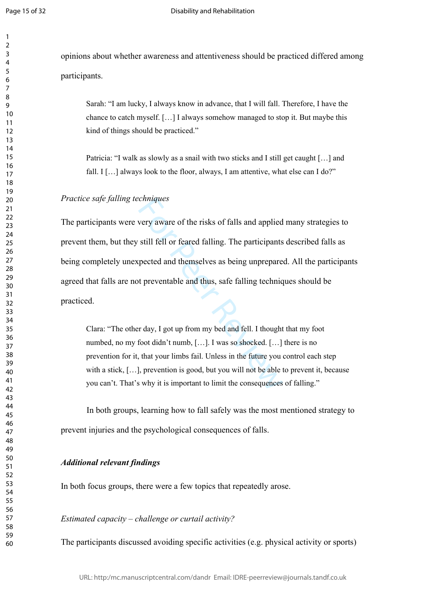$\mathbf{1}$  $\overline{2}$  $\overline{3}$  $\overline{4}$  $\overline{7}$ 

opinions about whether awareness and attentiveness should be practiced differed among participants.

Sarah: "I am lucky, I always know in advance, that I will fall. Therefore, I have the chance to catch myself. […] I always somehow managed to stop it. But maybe this kind of things should be practiced."

Patricia: "I walk as slowly as a snail with two sticks and I still get caught […] and fall. I [...] always look to the floor, always, I am attentive, what else can I do?"

## *Practice safe falling techniques*

continuous<br>
section wave of the risks of falls and applied<br>
still fell or feared falling. The participants<br>
sepected and themselves as being unprepare<br>
of preventable and thus, safe falling technic<br>
r day, I got up from my The participants were very aware of the risks of falls and applied many strategies to prevent them, but they still fell or feared falling. The participants described falls as being completely unexpected and themselves as being unprepared. All the participants agreed that falls are not preventable and thus, safe falling techniques should be practiced.

Clara: "The other day, I got up from my bed and fell. I thought that my foot numbed, no my foot didn't numb, […]. I was so shocked. […] there is no prevention for it, that your limbs fail. Unless in the future you control each step with a stick, [...], prevention is good, but you will not be able to prevent it, because you can't. That's why it is important to limit the consequences of falling."

In both groups, learning how to fall safely was the most mentioned strategy to prevent injuries and the psychological consequences of falls.

## *Additional relevant findings*

In both focus groups, there were a few topics that repeatedly arose.

## *Estimated capacity – challenge or curtail activity?*

The participants discussed avoiding specific activities (e.g. physical activity or sports)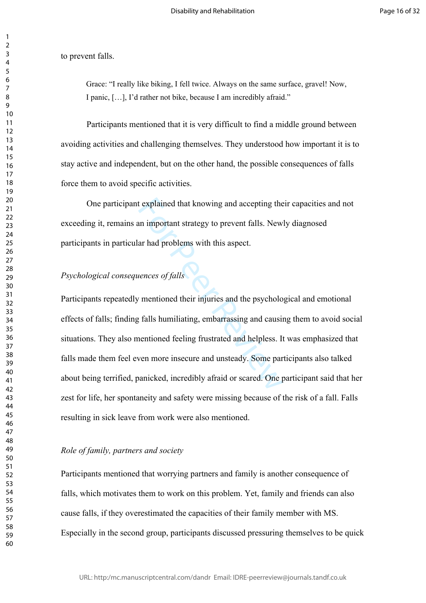to prevent falls.

Grace: "I really like biking, I fell twice. Always on the same surface, gravel! Now, I panic, […], I'd rather not bike, because I am incredibly afraid."

Participants mentioned that it is very difficult to find a middle ground between avoiding activities and challenging themselves. They understood how important it is to stay active and independent, but on the other hand, the possible consequences of falls force them to avoid specific activities.

One participant explained that knowing and accepting their capacities and not exceeding it, remains an important strategy to prevent falls. Newly diagnosed participants in particular had problems with this aspect.

## *Psychological consequences of falls*

t explained that knowing and accepting the<br>an important strategy to prevent falls. New<br>ar had problems with this aspect.<br><br>vences of falls<br>y mentioned their injuries and the psycholo<br>t, falls humiliating, embarrassing and c Participants repeatedly mentioned their injuries and the psychological and emotional effects of falls; finding falls humiliating, embarrassing and causing them to avoid social situations. They also mentioned feeling frustrated and helpless. It was emphasized that falls made them feel even more insecure and unsteady. Some participants also talked about being terrified, panicked, incredibly afraid or scared. One participant said that her zest for life, her spontaneity and safety were missing because of the risk of a fall. Falls resulting in sick leave from work were also mentioned.

### *Role of family, partners and society*

Participants mentioned that worrying partners and family is another consequence of falls, which motivates them to work on this problem. Yet, family and friends can also cause falls, if they overestimated the capacities of their family member with MS. Especially in the second group, participants discussed pressuring themselves to be quick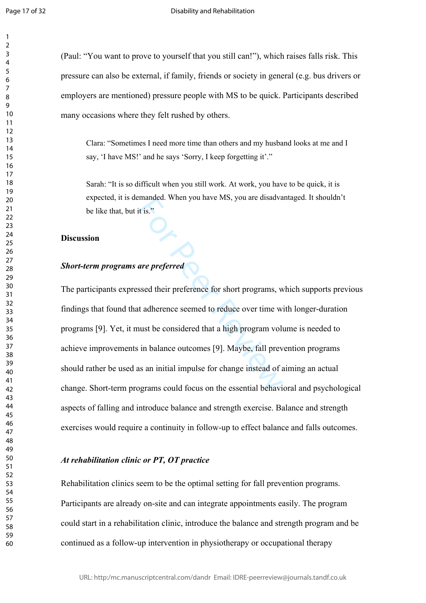$\mathbf{1}$  $\overline{2}$ 

(Paul: "You want to prove to yourself that you still can!"), which raises falls risk. This pressure can also be external, if family, friends or society in general (e.g. bus drivers or employers are mentioned) pressure people with MS to be quick. Participants described many occasions where they felt rushed by others.

Clara: "Sometimes I need more time than others and my husband looks at me and I say, 'I have MS!' and he says 'Sorry, I keep forgetting it'."

Sarah: "It is so difficult when you still work. At work, you have to be quick, it is expected, it is demanded. When you have MS, you are disadvantaged. It shouldn't be like that, but it is."

#### **Discussion**

## *Short-term programs are preferred*

Exampled. When you have MS, you are disadvant<br>it is."<br>**are preferred**<br>ssed their preference for short programs, we<br>t adherence seemed to reduce over time w<br>nust be considered that a high program voli<br>in balance outcomes [9 The participants expressed their preference for short programs, which supports previous findings that found that adherence seemed to reduce over time with longer-duration programs [9]. Yet, it must be considered that a high program volume is needed to achieve improvements in balance outcomes [9]. Maybe, fall prevention programs should rather be used as an initial impulse for change instead of aiming an actual change. Short-term programs could focus on the essential behavioral and psychological aspects of falling and introduce balance and strength exercise. Balance and strength exercises would require a continuity in follow-up to effect balance and falls outcomes.

## *At rehabilitation clinic or PT, OT practice*

Rehabilitation clinics seem to be the optimal setting for fall prevention programs. Participants are already on-site and can integrate appointments easily. The program could start in a rehabilitation clinic, introduce the balance and strength program and be continued as a follow-up intervention in physiotherapy or occupational therapy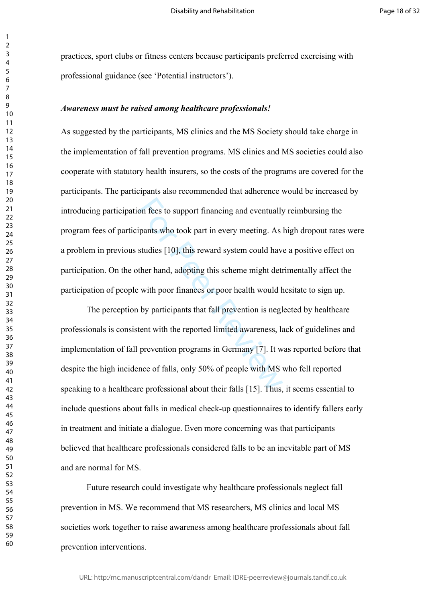practices, sport clubs or fitness centers because participants preferred exercising with professional guidance (see 'Potential instructors').

#### *Awareness must be raised among healthcare professionals!*

on fees to support financing and eventually<br>ipants who took part in every meeting. As<br>studies [10], this reward system could hav<br>ther hand, adopting this scheme might det<br>ivith poor finances or poor health would h<br>by parti As suggested by the participants, MS clinics and the MS Society should take charge in the implementation of fall prevention programs. MS clinics and MS societies could also cooperate with statutory health insurers, so the costs of the programs are covered for the participants. The participants also recommended that adherence would be increased by introducing participation fees to support financing and eventually reimbursing the program fees of participants who took part in every meeting. As high dropout rates were a problem in previous studies [10], this reward system could have a positive effect on participation. On the other hand, adopting this scheme might detrimentally affect the participation of people with poor finances or poor health would hesitate to sign up.

The perception by participants that fall prevention is neglected by healthcare professionals is consistent with the reported limited awareness, lack of guidelines and implementation of fall prevention programs in Germany [7]. It was reported before that despite the high incidence of falls, only 50% of people with MS who fell reported speaking to a healthcare professional about their falls [15]. Thus, it seems essential to include questions about falls in medical check-up questionnaires to identify fallers early in treatment and initiate a dialogue. Even more concerning was that participants believed that healthcare professionals considered falls to be an inevitable part of MS and are normal for MS.

Future research could investigate why healthcare professionals neglect fall prevention in MS. We recommend that MS researchers, MS clinics and local MS societies work together to raise awareness among healthcare professionals about fall prevention interventions.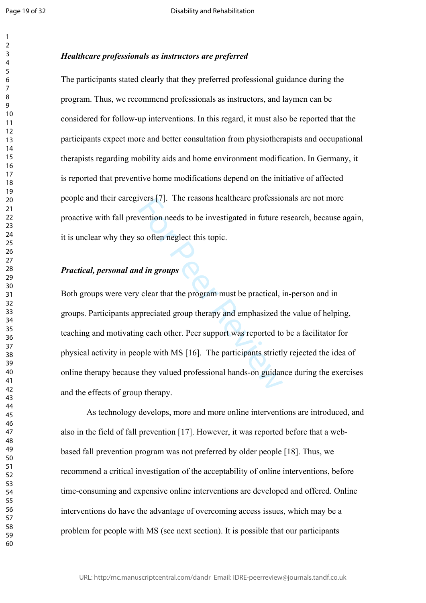$\mathbf{1}$  $\overline{2}$  $\overline{3}$  $\overline{4}$  $\overline{7}$ 

## *Healthcare professionals as instructors are preferred*

The participants stated clearly that they preferred professional guidance during the program. Thus, we recommend professionals as instructors, and laymen can be considered for follow-up interventions. In this regard, it must also be reported that the participants expect more and better consultation from physiotherapists and occupational therapists regarding mobility aids and home environment modification. In Germany, it is reported that preventive home modifications depend on the initiative of affected people and their caregivers [7]. The reasons healthcare professionals are not more proactive with fall prevention needs to be investigated in future research, because again, it is unclear why they so often neglect this topic.

## *Practical, personal and in groups*

Wers [7]. The reasons neatthcare profession<br>vention needs to be investigated in future r<br>so often neglect this topic.<br>*d in groups*<br>v clear that the program must be practical, is<br>preciated group therapy and emphasized t<br>ng Both groups were very clear that the program must be practical, in-person and in groups. Participants appreciated group therapy and emphasized the value of helping, teaching and motivating each other. Peer support was reported to be a facilitator for physical activity in people with MS [16]. The participants strictly rejected the idea of online therapy because they valued professional hands-on guidance during the exercises and the effects of group therapy.

As technology develops, more and more online interventions are introduced, and also in the field of fall prevention [17]. However, it was reported before that a webbased fall prevention program was not preferred by older people [18]. Thus, we recommend a critical investigation of the acceptability of online interventions, before time-consuming and expensive online interventions are developed and offered. Online interventions do have the advantage of overcoming access issues, which may be a problem for people with MS (see next section). It is possible that our participants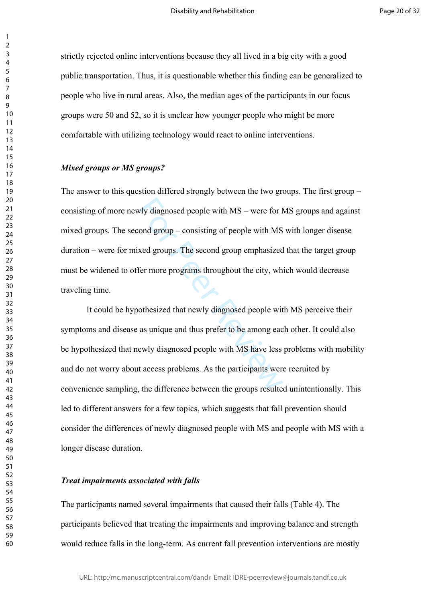strictly rejected online interventions because they all lived in a big city with a good public transportation. Thus, it is questionable whether this finding can be generalized to people who live in rural areas. Also, the median ages of the participants in our focus groups were 50 and 52, so it is unclear how younger people who might be more comfortable with utilizing technology would react to online interventions.

#### *Mixed groups or MS groups?*

wly diagnosed people with MS – were for l<br>cond group – consisting of people with MS<br>xed groups. The second group emphasized<br>fer more programs throughout the city, wh<br>othesized that newly diagnosed people wit<br>as unique and The answer to this question differed strongly between the two groups. The first group – consisting of more newly diagnosed people with MS – were for MS groups and against mixed groups. The second group – consisting of people with MS with longer disease duration – were for mixed groups. The second group emphasized that the target group must be widened to offer more programs throughout the city, which would decrease traveling time.

It could be hypothesized that newly diagnosed people with MS perceive their symptoms and disease as unique and thus prefer to be among each other. It could also be hypothesized that newly diagnosed people with MS have less problems with mobility and do not worry about access problems. As the participants were recruited by convenience sampling, the difference between the groups resulted unintentionally. This led to different answers for a few topics, which suggests that fall prevention should consider the differences of newly diagnosed people with MS and people with MS with a longer disease duration.

#### *Treat impairments associated with falls*

The participants named several impairments that caused their falls (Table 4). The participants believed that treating the impairments and improving balance and strength would reduce falls in the long-term. As current fall prevention interventions are mostly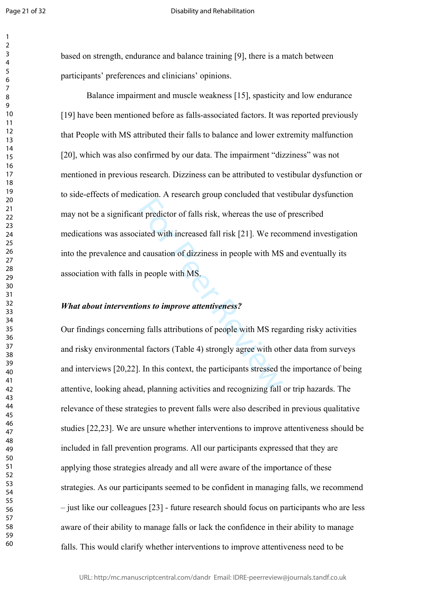$\mathbf{1}$  $\overline{2}$  $\overline{3}$  $\overline{4}$  $\overline{7}$ 

#### Disability and Rehabilitation

based on strength, endurance and balance training [9], there is a match between participants' preferences and clinicians' opinions.

Interpretent of falls risk, whereas the use of the predictor of falls risk, whereas the use of diated with increased fall risk [21]. We record causation of dizziness in people with MS in people with MS.<br>Sons to improve att Balance impairment and muscle weakness [15], spasticity and low endurance [19] have been mentioned before as falls-associated factors. It was reported previously that People with MS attributed their falls to balance and lower extremity malfunction [20], which was also confirmed by our data. The impairment "dizziness" was not mentioned in previous research. Dizziness can be attributed to vestibular dysfunction or to side-effects of medication. A research group concluded that vestibular dysfunction may not be a significant predictor of falls risk, whereas the use of prescribed medications was associated with increased fall risk [21]. We recommend investigation into the prevalence and causation of dizziness in people with MS and eventually its association with falls in people with MS.

#### *What about interventions to improve attentiveness?*

Our findings concerning falls attributions of people with MS regarding risky activities and risky environmental factors (Table 4) strongly agree with other data from surveys and interviews [20,22]. In this context, the participants stressed the importance of being attentive, looking ahead, planning activities and recognizing fall or trip hazards. The relevance of these strategies to prevent falls were also described in previous qualitative studies [22,23]. We are unsure whether interventions to improve attentiveness should be included in fall prevention programs. All our participants expressed that they are applying those strategies already and all were aware of the importance of these strategies. As our participants seemed to be confident in managing falls, we recommend – just like our colleagues [23] - future research should focus on participants who are less aware of their ability to manage falls or lack the confidence in their ability to manage falls. This would clarify whether interventions to improve attentiveness need to be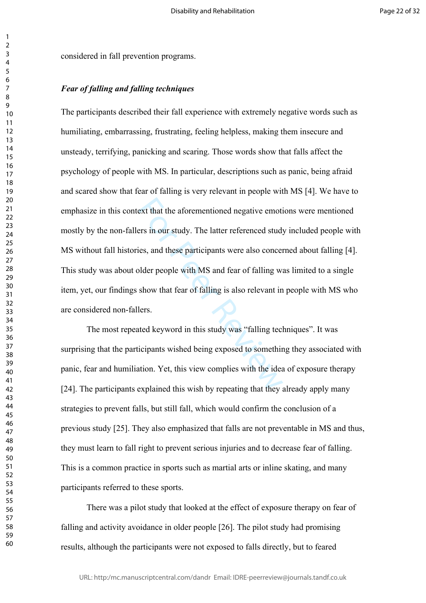considered in fall prevention programs.

## *Fear of falling and falling techniques*

ext that the aforementioned negative emotions<br>formal and these participants were also concerned studies, and these participants were also concerned<br>plder people with MS and fear of falling w<br>show that fear of falling is al The participants described their fall experience with extremely negative words such as humiliating, embarrassing, frustrating, feeling helpless, making them insecure and unsteady, terrifying, panicking and scaring. Those words show that falls affect the psychology of people with MS. In particular, descriptions such as panic, being afraid and scared show that fear of falling is very relevant in people with MS [4]. We have to emphasize in this context that the aforementioned negative emotions were mentioned mostly by the non-fallers in our study. The latter referenced study included people with MS without fall histories, and these participants were also concerned about falling [4]. This study was about older people with MS and fear of falling was limited to a single item, yet, our findings show that fear of falling is also relevant in people with MS who are considered non-fallers.

The most repeated keyword in this study was "falling techniques". It was surprising that the participants wished being exposed to something they associated with panic, fear and humiliation. Yet, this view complies with the idea of exposure therapy [24]. The participants explained this wish by repeating that they already apply many strategies to prevent falls, but still fall, which would confirm the conclusion of a previous study [25]. They also emphasized that falls are not preventable in MS and thus, they must learn to fall right to prevent serious injuries and to decrease fear of falling. This is a common practice in sports such as martial arts or inline skating, and many participants referred to these sports.

There was a pilot study that looked at the effect of exposure therapy on fear of falling and activity avoidance in older people [26]. The pilot study had promising results, although the participants were not exposed to falls directly, but to feared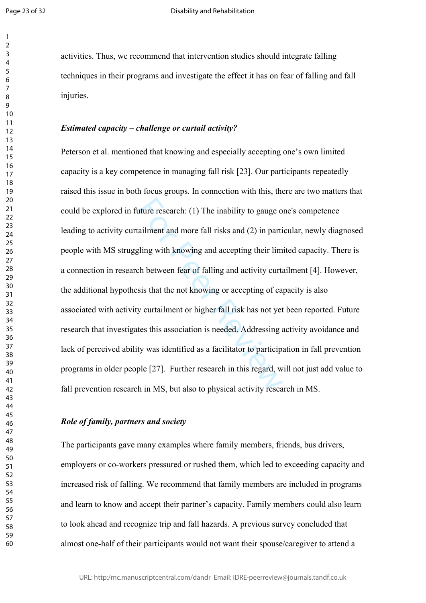$\mathbf{1}$  $\overline{2}$  $\overline{3}$  $\overline{4}$  $\overline{7}$ 

activities. Thus, we recommend that intervention studies should integrate falling techniques in their programs and investigate the effect it has on fear of falling and fall injuries.

#### *Estimated capacity – challenge or curtail activity?*

ature research: (1) The inability to gauge o<br>ailment and more fall risks and (2) in parti<br>gling with knowing and accepting their lim<br>ch between fear of falling and activity curta<br>sis that the not knowing or accepting of ca Peterson et al. mentioned that knowing and especially accepting one's own limited capacity is a key competence in managing fall risk [23]. Our participants repeatedly raised this issue in both focus groups. In connection with this, there are two matters that could be explored in future research: (1) The inability to gauge one's competence leading to activity curtailment and more fall risks and (2) in particular, newly diagnosed people with MS struggling with knowing and accepting their limited capacity. There is a connection in research between fear of falling and activity curtailment [4]. However, the additional hypothesis that the not knowing or accepting of capacity is also associated with activity curtailment or higher fall risk has not yet been reported. Future research that investigates this association is needed. Addressing activity avoidance and lack of perceived ability was identified as a facilitator to participation in fall prevention programs in older people [27]. Further research in this regard, will not just add value to fall prevention research in MS, but also to physical activity research in MS.

#### *Role of family, partners and society*

The participants gave many examples where family members, friends, bus drivers, employers or co-workers pressured or rushed them, which led to exceeding capacity and increased risk of falling. We recommend that family members are included in programs and learn to know and accept their partner's capacity. Family members could also learn to look ahead and recognize trip and fall hazards. A previous survey concluded that almost one-half of their participants would not want their spouse/caregiver to attend a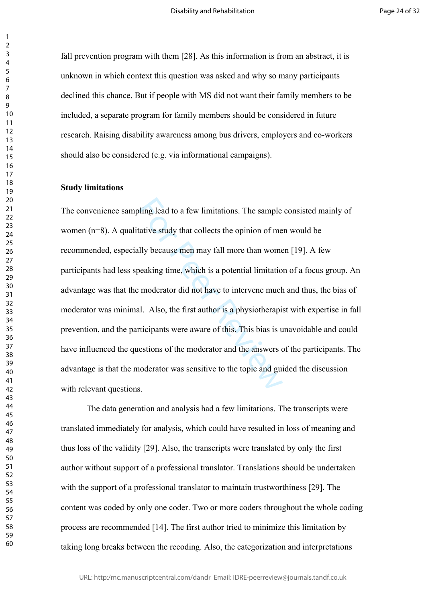fall prevention program with them [28]. As this information is from an abstract, it is unknown in which context this question was asked and why so many participants declined this chance. But if people with MS did not want their family members to be included, a separate program for family members should be considered in future research. Raising disability awareness among bus drivers, employers and co-workers should also be considered (e.g. via informational campaigns).

#### **Study limitations**

bling lead to a few limitations. The sample<br>tative study that collects the opinion of me<br>ully because men may fall more than wome<br>peaking time, which is a potential limitatio<br>to moderator did not have to intervene much<br>al. The convenience sampling lead to a few limitations. The sample consisted mainly of women (n=8). A qualitative study that collects the opinion of men would be recommended, especially because men may fall more than women [19]. A few participants had less speaking time, which is a potential limitation of a focus group. An advantage was that the moderator did not have to intervene much and thus, the bias of moderator was minimal. Also, the first author is a physiotherapist with expertise in fall prevention, and the participants were aware of this. This bias is unavoidable and could have influenced the questions of the moderator and the answers of the participants. The advantage is that the moderator was sensitive to the topic and guided the discussion with relevant questions.

The data generation and analysis had a few limitations. The transcripts were translated immediately for analysis, which could have resulted in loss of meaning and thus loss of the validity [29]. Also, the transcripts were translated by only the first author without support of a professional translator. Translations should be undertaken with the support of a professional translator to maintain trustworthiness [29]. The content was coded by only one coder. Two or more coders throughout the whole coding process are recommended [14]. The first author tried to minimize this limitation by taking long breaks between the recoding. Also, the categorization and interpretations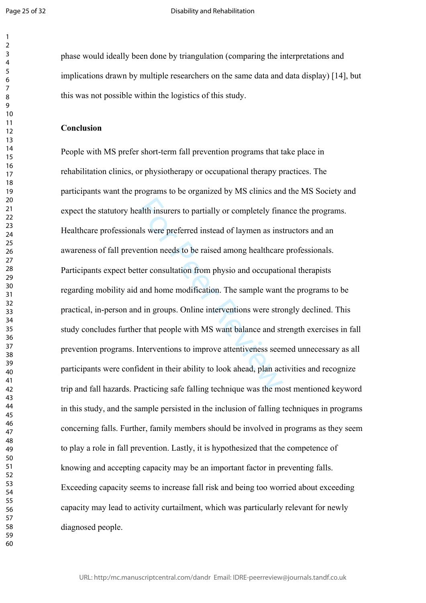$\mathbf{1}$  $\overline{2}$  $\overline{3}$  $\overline{4}$  $\overline{7}$ 

#### Disability and Rehabilitation

phase would ideally been done by triangulation (comparing the interpretations and implications drawn by multiple researchers on the same data and data display) [14], but this was not possible within the logistics of this study.

#### **Conclusion**

alth insurers to partially or completely finals<br>als were preferred instead of laymen as ins<br>ention needs to be raised among healthcare<br>ter consultation from physio and occupatio<br>and home modification. The sample want<br>d in People with MS prefer short-term fall prevention programs that take place in rehabilitation clinics, or physiotherapy or occupational therapy practices. The participants want the programs to be organized by MS clinics and the MS Society and expect the statutory health insurers to partially or completely finance the programs. Healthcare professionals were preferred instead of laymen as instructors and an awareness of fall prevention needs to be raised among healthcare professionals. Participants expect better consultation from physio and occupational therapists regarding mobility aid and home modification. The sample want the programs to be practical, in-person and in groups. Online interventions were strongly declined. This study concludes further that people with MS want balance and strength exercises in fall prevention programs. Interventions to improve attentiveness seemed unnecessary as all participants were confident in their ability to look ahead, plan activities and recognize trip and fall hazards. Practicing safe falling technique was the most mentioned keyword in this study, and the sample persisted in the inclusion of falling techniques in programs concerning falls. Further, family members should be involved in programs as they seem to play a role in fall prevention. Lastly, it is hypothesized that the competence of knowing and accepting capacity may be an important factor in preventing falls. Exceeding capacity seems to increase fall risk and being too worried about exceeding capacity may lead to activity curtailment, which was particularly relevant for newly diagnosed people.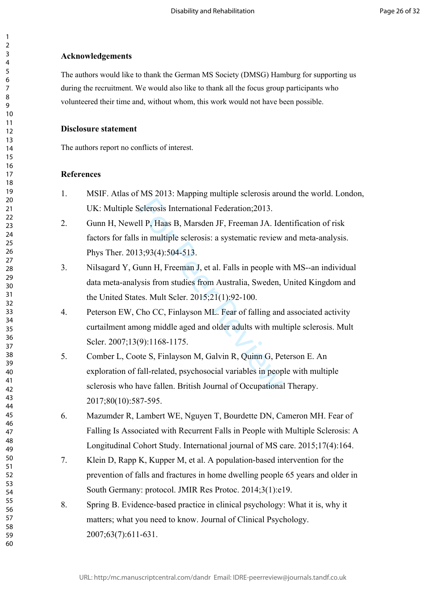## **Acknowledgements**

The authors would like to thank the German MS Society (DMSG) Hamburg for supporting us during the recruitment. We would also like to thank all the focus group participants who volunteered their time and, without whom, this work would not have been possible.

## **Disclosure statement**

The authors report no conflicts of interest.

## **References**

- 1. MSIF. Atlas of MS 2013: Mapping multiple sclerosis around the world. London, UK: Multiple Sclerosis International Federation;2013.
- 2. Gunn H, Newell P, Haas B, Marsden JF, Freeman JA. Identification of risk factors for falls in multiple sclerosis: a systematic review and meta-analysis. Phys Ther. 2013;93(4):504-513.
- 3. Nilsagard Y, Gunn H, Freeman J, et al. Falls in people with MS--an individual data meta-analysis from studies from Australia, Sweden, United Kingdom and the United States. Mult Scler. 2015;21(1):92-100.
- 4. Peterson EW, Cho CC, Finlayson ML. Fear of falling and associated activity curtailment among middle aged and older adults with multiple sclerosis. Mult Scler. 2007:13(9):1168-1175.
- Sclerosis International Federation; 2013.<br>
Il P, Haas B, Marsden JF, Freeman JA. Ide<br>
in multiple sclerosis: a systematic review<br>
3;93(4):504-513.<br>
iunn H, Freeman J, et al. Falls in people wi<br>
ysis from studies from Austr 5. Comber L, Coote S, Finlayson M, Galvin R, Quinn G, Peterson E. An exploration of fall-related, psychosocial variables in people with multiple sclerosis who have fallen. British Journal of Occupational Therapy. 2017;80(10):587-595.
- 6. Mazumder R, Lambert WE, Nguyen T, Bourdette DN, Cameron MH. Fear of Falling Is Associated with Recurrent Falls in People with Multiple Sclerosis: A Longitudinal Cohort Study. International journal of MS care. 2015;17(4):164.
- 7. Klein D, Rapp K, Kupper M, et al. A population-based intervention for the prevention of falls and fractures in home dwelling people 65 years and older in South Germany: protocol. JMIR Res Protoc. 2014;3(1):e19.
- 8. Spring B. Evidence‐based practice in clinical psychology: What it is, why it matters; what you need to know. Journal of Clinical Psychology. 2007;63(7):611-631.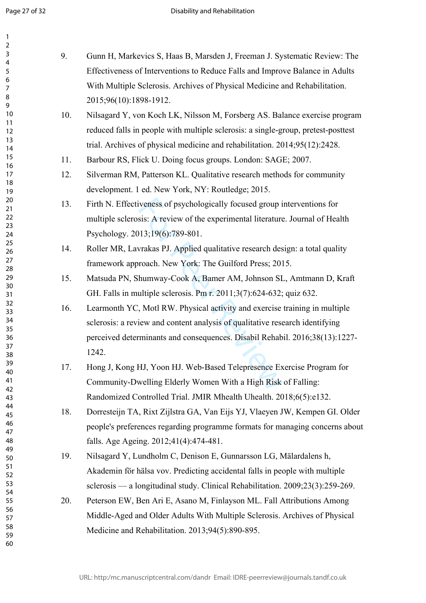$\mathbf{1}$  $\overline{2}$  $\overline{3}$  $\overline{4}$ 5 6  $\overline{7}$ 8 9

| 9.  | Gunn H, Markevics S, Haas B, Marsden J, Freeman J. Systematic Review: The         |
|-----|-----------------------------------------------------------------------------------|
|     | Effectiveness of Interventions to Reduce Falls and Improve Balance in Adults      |
|     | With Multiple Sclerosis. Archives of Physical Medicine and Rehabilitation.        |
|     | 2015;96(10):1898-1912.                                                            |
| 10. | Nilsagard Y, von Koch LK, Nilsson M, Forsberg AS. Balance exercise program        |
|     | reduced falls in people with multiple sclerosis: a single-group, pretest-posttest |
|     | trial. Archives of physical medicine and rehabilitation. 2014;95(12):2428.        |
| 11. | Barbour RS, Flick U. Doing focus groups. London: SAGE; 2007.                      |
| 12. | Silverman RM, Patterson KL. Qualitative research methods for community            |
|     | development. 1 ed. New York, NY: Routledge; 2015.                                 |
| 13. | Firth N. Effectiveness of psychologically focused group interventions for         |
|     | multiple sclerosis: A review of the experimental literature. Journal of Health    |
|     | Psychology. 2013;19(6):789-801.                                                   |
| 14. | Roller MR, Lavrakas PJ. Applied qualitative research design: a total quality      |
|     | framework approach. New York: The Guilford Press; 2015.                           |
| 15. | Matsuda PN, Shumway-Cook A, Bamer AM, Johnson SL, Amtmann D, Kraft                |
|     | GH. Falls in multiple sclerosis. Pm r. 2011;3(7):624-632; quiz 632.               |
| 16. | Learmonth YC, Motl RW. Physical activity and exercise training in multiple        |
|     | sclerosis: a review and content analysis of qualitative research identifying      |
|     | perceived determinants and consequences. Disabil Rehabil. 2016;38(13):1227-       |
|     | 1242.                                                                             |
| 17. | Hong J, Kong HJ, Yoon HJ. Web-Based Telepresence Exercise Program for             |
|     | Community-Dwelling Elderly Women With a High Risk of Falling:                     |
|     | Randomized Controlled Trial. JMIR Mhealth Uhealth. 2018;6(5):e132.                |
| 18. | Dorresteijn TA, Rixt Zijlstra GA, Van Eijs YJ, Vlaeyen JW, Kempen GI. Older       |
|     | people's preferences regarding programme formats for managing concerns about      |
|     | falls. Age Ageing. 2012;41(4):474-481.                                            |
| 19. | Nilsagard Y, Lundholm C, Denison E, Gunnarsson LG, Mälardalens h,                 |
|     | Akademin för hälsa vov. Predicting accidental falls in people with multiple       |
|     | sclerosis — a longitudinal study. Clinical Rehabilitation. 2009;23(3):259-269.    |
| 20. | Peterson EW, Ben Ari E, Asano M, Finlayson ML. Fall Attributions Among            |
|     | Middle-Aged and Older Adults With Multiple Sclerosis. Archives of Physical        |
|     | Medicine and Rehabilitation. 2013;94(5):890-895.                                  |
|     |                                                                                   |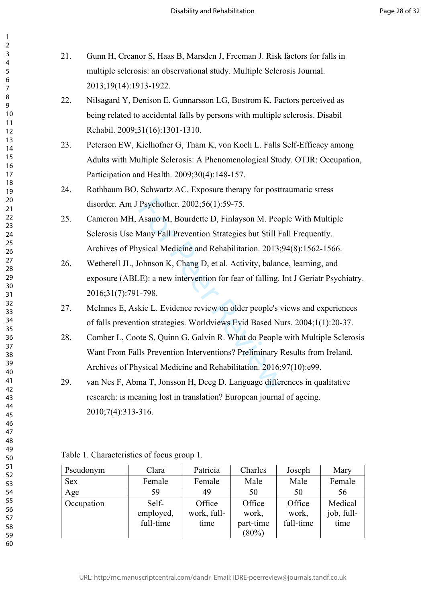| 21. | Gunn H, Creanor S, Haas B, Marsden J, Freeman J. Risk factors for falls in         |
|-----|------------------------------------------------------------------------------------|
|     | multiple sclerosis: an observational study. Multiple Sclerosis Journal.            |
|     | 2013;19(14):1913-1922.                                                             |
| 22. | Nilsagard Y, Denison E, Gunnarsson LG, Bostrom K. Factors perceived as             |
|     | being related to accidental falls by persons with multiple sclerosis. Disabil      |
|     | Rehabil. 2009;31(16):1301-1310.                                                    |
| 23. | Peterson EW, Kielhofner G, Tham K, von Koch L. Falls Self-Efficacy among           |
|     | Adults with Multiple Sclerosis: A Phenomenological Study. OTJR: Occupation,        |
|     | Participation and Health. 2009;30(4):148-157.                                      |
| 24. | Rothbaum BO, Schwartz AC. Exposure therapy for posttraumatic stress                |
|     | disorder. Am J Psychother. 2002;56(1):59-75.                                       |
| 25. | Cameron MH, Asano M, Bourdette D, Finlayson M. People With Multiple                |
|     | Sclerosis Use Many Fall Prevention Strategies but Still Fall Frequently.           |
|     | Archives of Physical Medicine and Rehabilitation. 2013;94(8):1562-1566.            |
| 26. | Wetherell JL, Johnson K, Chang D, et al. Activity, balance, learning, and          |
|     | exposure (ABLE): a new intervention for fear of falling. Int J Geriatr Psychiatry. |
|     | 2016;31(7):791-798.                                                                |
| 27. | McInnes E, Askie L. Evidence review on older people's views and experiences        |
|     | of falls prevention strategies. Worldviews Evid Based Nurs. 2004;1(1):20-37.       |
| 28. | Comber L, Coote S, Quinn G, Galvin R. What do People with Multiple Sclerosis       |
|     | Want From Falls Prevention Interventions? Preliminary Results from Ireland.        |
|     | Archives of Physical Medicine and Rehabilitation. 2016;97(10):e99.                 |
| 29. | van Nes F, Abma T, Jonsson H, Deeg D. Language differences in qualitative          |
|     | research: is meaning lost in translation? European journal of ageing.              |
|     |                                                                                    |

2010;7(4):313-316.

|  | Table 1. Characteristics of focus group 1. |  |  |  |
|--|--------------------------------------------|--|--|--|
|--|--------------------------------------------|--|--|--|

| Pseudonym  | Clara     | Patricia    | Charles   | Joseph    | Mary       |
|------------|-----------|-------------|-----------|-----------|------------|
| <b>Sex</b> | Female    | Female      | Male      | Male      | Female     |
| Age        | 59        | 49          | 50        | 50        | 56         |
| Occupation | Self-     | Office      | Office    | Office    | Medical    |
|            | employed, | work, full- | work,     | work,     | job, full- |
|            | full-time | time        | part-time | full-time | time       |
|            |           |             | $(80\%)$  |           |            |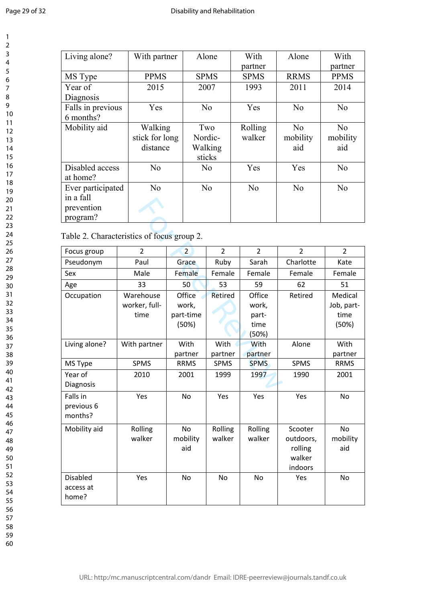$\mathbf{1}$  $\overline{2}$  $\overline{3}$  $\overline{4}$ 5 6  $\overline{7}$ 8 9

10

| Living alone?     | With partner   | Alone          | With           | Alone          | With           |
|-------------------|----------------|----------------|----------------|----------------|----------------|
|                   |                |                | partner        |                | partner        |
| MS Type           | <b>PPMS</b>    | <b>SPMS</b>    | <b>SPMS</b>    | <b>RRMS</b>    | <b>PPMS</b>    |
| Year of           | 2015           | 2007           | 1993           | 2011           | 2014           |
| Diagnosis         |                |                |                |                |                |
| Falls in previous | Yes            | N <sub>0</sub> | Yes            | N <sub>0</sub> | No             |
| 6 months?         |                |                |                |                |                |
| Mobility aid      | Walking        | Two            | Rolling        | N <sub>0</sub> | No             |
|                   | stick for long | Nordic-        | walker         | mobility       | mobility       |
|                   | distance       | Walking        |                | aid            | aid            |
|                   |                | sticks         |                |                |                |
| Disabled access   | N <sub>0</sub> | N <sub>o</sub> | Yes            | Yes            | N <sub>o</sub> |
| at home?          |                |                |                |                |                |
| Ever participated | N <sub>0</sub> | N <sub>0</sub> | N <sub>0</sub> | N <sub>o</sub> | N <sub>o</sub> |
| in a fall         |                |                |                |                |                |
| prevention        |                |                |                |                |                |
| program?          |                |                |                |                |                |

| ша тап<br>prevention<br>program?           |                                    |                                       |                   |                                           |                                                      |                                        |  |
|--------------------------------------------|------------------------------------|---------------------------------------|-------------------|-------------------------------------------|------------------------------------------------------|----------------------------------------|--|
| Table 2. Characteristics of focus group 2. |                                    |                                       |                   |                                           |                                                      |                                        |  |
| Focus group                                | $\overline{2}$                     | $\overline{2}$                        | $\overline{2}$    | $\overline{2}$                            | $\overline{2}$                                       | 2                                      |  |
| Pseudonym                                  | Paul                               | Grace                                 | Ruby              | Sarah                                     | Charlotte                                            | Kate                                   |  |
| Sex                                        | Male                               | Female                                | Female            | Female                                    | Female                                               | Female                                 |  |
| Age                                        | 33                                 | 50                                    | 53                | 59                                        | 62                                                   | 51                                     |  |
| Occupation                                 | Warehouse<br>worker, full-<br>time | Office<br>work,<br>part-time<br>(50%) | Retired           | Office<br>work,<br>part-<br>time<br>(50%) | Retired                                              | Medical<br>Job, part-<br>time<br>(50%) |  |
| Living alone?                              | With partner                       | With<br>partner                       | With<br>partner   | With<br>partner                           | Alone                                                | With<br>partner                        |  |
| MS Type                                    | <b>SPMS</b>                        | <b>RRMS</b>                           | <b>SPMS</b>       | <b>SPMS</b>                               | <b>SPMS</b>                                          | <b>RRMS</b>                            |  |
| Year of<br>Diagnosis                       | 2010                               | 2001                                  | 1999              | 1997                                      | 1990                                                 | 2001                                   |  |
| Falls in<br>previous 6<br>months?          | Yes                                | N <sub>o</sub>                        | Yes               | Yes                                       | Yes                                                  | No                                     |  |
| Mobility aid                               | Rolling<br>walker                  | No<br>mobility<br>aid                 | Rolling<br>walker | Rolling<br>walker                         | Scooter<br>outdoors,<br>rolling<br>walker<br>indoors | No<br>mobility<br>aid                  |  |
| <b>Disabled</b><br>access at<br>home?      | Yes                                | N <sub>o</sub>                        | <b>No</b>         | <b>No</b>                                 | Yes                                                  | <b>No</b>                              |  |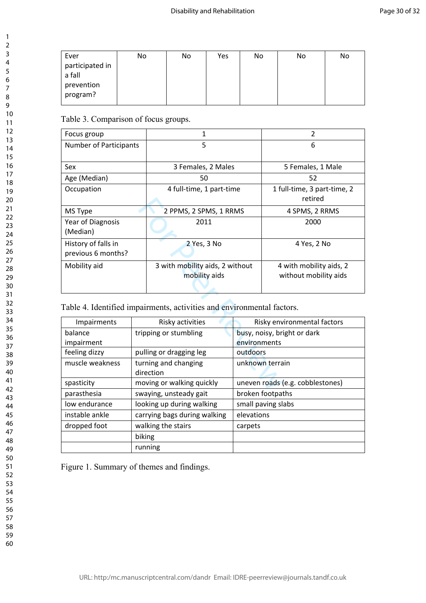| Ever                      | No | No | Yes | No | No | No |
|---------------------------|----|----|-----|----|----|----|
| participated in<br>a fall |    |    |     |    |    |    |
|                           |    |    |     |    |    |    |
| prevention                |    |    |     |    |    |    |
| program?                  |    |    |     |    |    |    |
|                           |    |    |     |    |    |    |

Table 3. Comparison of focus groups.

| Focus group                   |  | $\mathbf{1}$                                                           | $\overline{2}$                   |                             |
|-------------------------------|--|------------------------------------------------------------------------|----------------------------------|-----------------------------|
| <b>Number of Participants</b> |  | 5                                                                      | 6                                |                             |
|                               |  |                                                                        |                                  |                             |
| Sex                           |  | 3 Females, 2 Males                                                     |                                  | 5 Females, 1 Male           |
| Age (Median)                  |  | 50                                                                     |                                  | 52                          |
| Occupation                    |  | 4 full-time, 1 part-time                                               |                                  | 1 full-time, 3 part-time, 2 |
|                               |  |                                                                        |                                  | retired                     |
| MS Type                       |  | 2 PPMS, 2 SPMS, 1 RRMS                                                 |                                  | 4 SPMS, 2 RRMS              |
| Year of Diagnosis             |  | 2011                                                                   |                                  | 2000                        |
| (Median)                      |  |                                                                        |                                  |                             |
| History of falls in           |  | 2 Yes, 3 No                                                            |                                  | 4 Yes, 2 No                 |
| previous 6 months?            |  |                                                                        |                                  |                             |
| Mobility aid                  |  | 3 with mobility aids, 2 without                                        |                                  | 4 with mobility aids, 2     |
|                               |  | mobility aids                                                          |                                  | without mobility aids       |
|                               |  |                                                                        |                                  |                             |
|                               |  |                                                                        |                                  |                             |
|                               |  | Table 4. Identified impairments, activities and environmental factors. |                                  |                             |
| Impairments                   |  | Risky activities                                                       |                                  | Risky environmental factors |
| balance                       |  | tripping or stumbling                                                  | busy, noisy, bright or dark      |                             |
| impairment                    |  |                                                                        | environments                     |                             |
| feeling dizzy                 |  | pulling or dragging leg                                                | outdoors                         |                             |
| muscle weakness               |  | turning and changing                                                   | unknown terrain                  |                             |
|                               |  | direction                                                              |                                  |                             |
| spasticity                    |  | moving or walking quickly                                              | uneven roads (e.g. cobblestones) |                             |
| دفم ملعمده                    |  | بالقارض والمتمسم والمتمرد والمتمر والمتمرور والمتناور                  |                                  | الممالحمية ممكسما مسما      |

| Impairments                        | Risky activities             | Risky environmental factors      |  |
|------------------------------------|------------------------------|----------------------------------|--|
| balance                            | tripping or stumbling        | busy, noisy, bright or dark      |  |
| impairment                         |                              | environments                     |  |
| feeling dizzy                      | pulling or dragging leg      | outdoors                         |  |
| muscle weakness                    | turning and changing         | unknown terrain                  |  |
|                                    | direction                    |                                  |  |
| spasticity                         | moving or walking quickly    | uneven roads (e.g. cobblestones) |  |
| parasthesia                        | swaying, unsteady gait       | broken footpaths                 |  |
| low endurance                      | looking up during walking    | small paving slabs               |  |
| instable ankle                     | carrying bags during walking | elevations                       |  |
| walking the stairs<br>dropped foot |                              | carpets                          |  |
|                                    | biking                       |                                  |  |
|                                    | running                      |                                  |  |

Figure 1. Summary of themes and findings.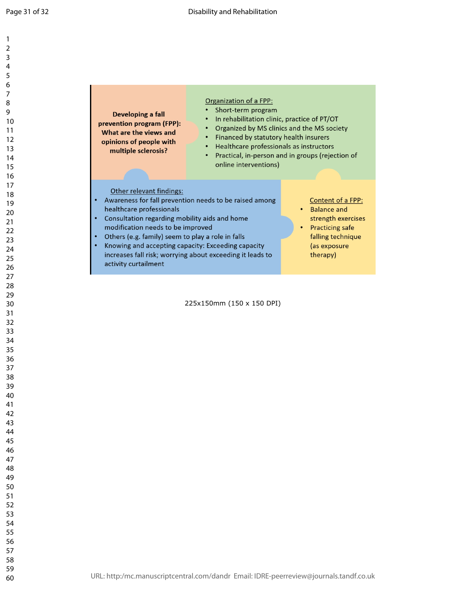$\mathbf{1}$  $\overline{2}$  $\overline{4}$  $\overline{7}$ 

| Developing a fall<br>prevention program (FPP):<br>What are the views and<br>opinions of people with<br>multiple sclerosis?                                                                                                                                                    | Organization of a FPP:<br>Short-term program<br>In rehabilitation clinic, practice of PT/OT<br>$\bullet$<br>Financed by statutory health insurers<br>Healthcare professionals as instructors<br>$\bullet$<br>$\bullet$<br>online interventions) | Organized by MS clinics and the MS society<br>Practical, in-person and in groups (rejection of                                           |  |  |  |  |
|-------------------------------------------------------------------------------------------------------------------------------------------------------------------------------------------------------------------------------------------------------------------------------|-------------------------------------------------------------------------------------------------------------------------------------------------------------------------------------------------------------------------------------------------|------------------------------------------------------------------------------------------------------------------------------------------|--|--|--|--|
| Other relevant findings:<br>healthcare professionals<br>Consultation regarding mobility aids and home<br>modification needs to be improved<br>Others (e.g. family) seem to play a role in falls<br>Knowing and accepting capacity: Exceeding capacity<br>activity curtailment | Awareness for fall prevention needs to be raised among<br>increases fall risk; worrying about exceeding it leads to                                                                                                                             | Content of a FPP:<br><b>Balance and</b><br>strength exercises<br><b>Practicing safe</b><br>falling technique<br>(as exposure<br>therapy) |  |  |  |  |
| 225x150mm (150 x 150 DPI)                                                                                                                                                                                                                                                     |                                                                                                                                                                                                                                                 |                                                                                                                                          |  |  |  |  |
|                                                                                                                                                                                                                                                                               |                                                                                                                                                                                                                                                 |                                                                                                                                          |  |  |  |  |

$$
\mathcal{L}^{\mathcal{L}}(\mathcal{L}^{\mathcal{L}}(\mathcal{L}^{\mathcal{L}}(\mathcal{L}^{\mathcal{L}}(\mathcal{L}^{\mathcal{L}}(\mathcal{L}^{\mathcal{L}}(\mathcal{L}^{\mathcal{L}}(\mathcal{L}^{\mathcal{L}}(\mathcal{L}^{\mathcal{L}}(\mathcal{L}^{\mathcal{L}}(\mathcal{L}^{\mathcal{L}}(\mathcal{L}^{\mathcal{L}}(\mathcal{L}^{\mathcal{L}}(\mathcal{L}^{\mathcal{L}}(\mathcal{L}^{\mathcal{L}}(\mathcal{L}^{\mathcal{L}}(\mathcal{L}^{\mathcal{L}}(\mathcal{L}^{\mathcal{L}}(\mathcal{L}^{\mathcal{L}}(\mathcal{L}^{\mathcal{L}}(\mathcal{L}^{\mathcal{L}}(\mathcal{L}^{\mathcal{L}}(\mathcal{L}^{\mathcal{L}}(\mathcal{L}^{\mathcal{L}}(\mathcal{L}^{\mathcal{L}}(\mathcal{L}^{\mathcal{L}}(\mathcal{L}^{\mathcal{L}}(\mathcal{L}^{\mathcal{L}}(\mathcal{L}^{\mathcal{L}}(\mathcal{L}^{\mathcal{L}}(\mathcal{L}^{\mathcal{L}}(\mathcal{L}^{\mathcal{L}}(\mathcal{L}^{\mathcal{L}}(\mathcal{L}^{\mathcal{L}}(\mathcal{L}^{\mathcal{L}}(\mathcal{L}^{\mathcal{L}}(\mathcal{L}^{\mathcal{L}}(\mathcal{L}^{\mathcal{L}}(\mathcal{L}^{\mathcal{L}}(\mathcal{L}^{\mathcal{L}}(\mathcal{L}^{\mathcal{L}}(\mathcal{L}^{\mathcal{L}}(\mathcal{L}^{\mathcal{L}}(\mathcal{L}^{\mathcal{L}}(\mathcal{L}^{\mathcal{L}}(\mathcal{L}^{\mathcal{L}}(\mathcal{L}^{\mathcal{L}}(\mathcal{L}^{\mathcal{L}}(\mathcal{L}^{\mathcal{L}}(\mathcal{L}^{\mathcal{L}}(\mathcal{L}^{\mathcal{L}}(\mathcal{L}^{\mathcal{L}}(\mathcal{L}^{\mathcal{L}}(\mathcal{L}^{\mathcal{L}}(\mathcal{L}^{\mathcal{L}}(\mathcal{L}^{\mathcal{L}}(\mathcal{L}^{\mathcal{L}}(\mathcal{L}^{\mathcal{L}}(\mathcal{L}
$$

URL: http:/mc.manuscriptcentral.com/dandr Email: IDRE-peerreview@journals.tandf.co.uk